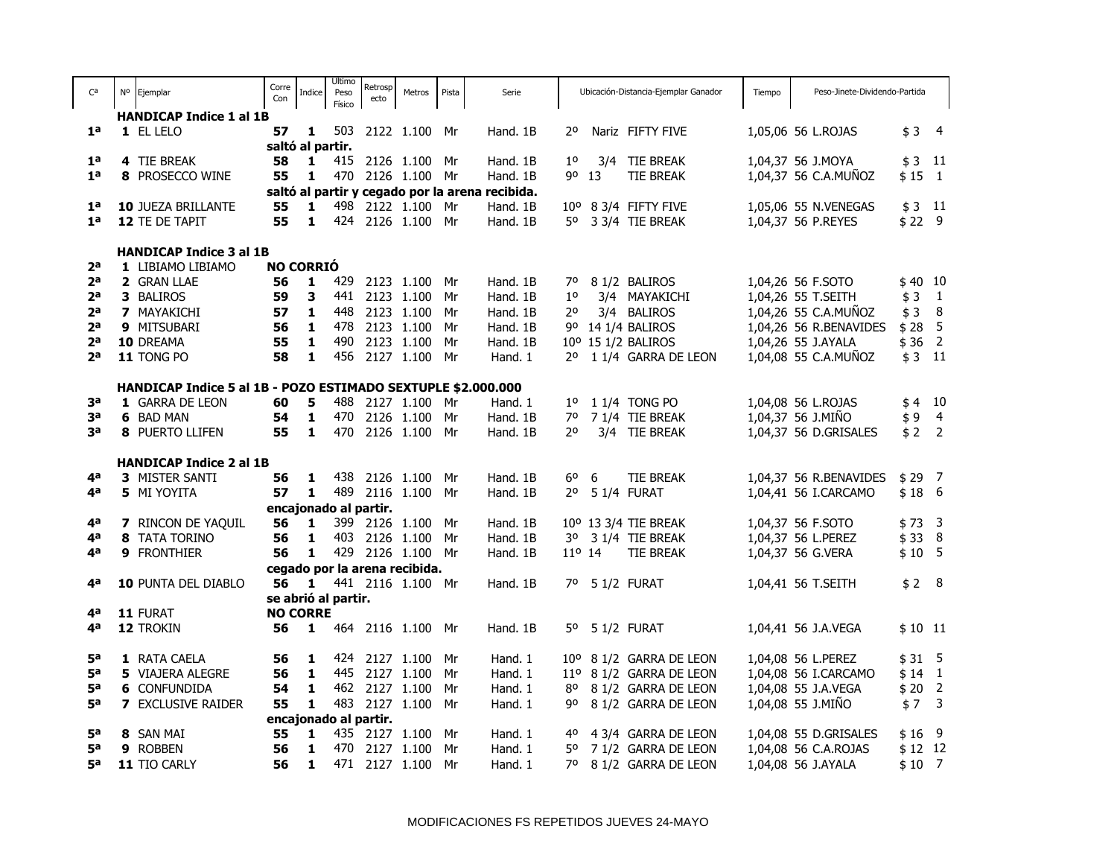| Ca             |                                                              | Nº Ejemplar                    | Corre<br>Con | <b>Indice</b>       | Ultimo<br>Peso<br>Físico | Retrosp<br>ecto       | Metros                        | Pista | Serie                                           |                 |    | Ubicación-Distancia-Ejemplar Ganador | Tiempo | Peso-Jinete-Dividendo-Partida |              |                |
|----------------|--------------------------------------------------------------|--------------------------------|--------------|---------------------|--------------------------|-----------------------|-------------------------------|-------|-------------------------------------------------|-----------------|----|--------------------------------------|--------|-------------------------------|--------------|----------------|
|                |                                                              | <b>HANDICAP Indice 1 al 1B</b> |              |                     |                          |                       |                               |       |                                                 |                 |    |                                      |        |                               |              |                |
| 1 <sup>a</sup> |                                                              | 1 EL LELO                      | 57           | 1                   |                          |                       | 503 2122 1.100 Mr             |       | Hand. 1B                                        | 20              |    | Nariz FIFTY FIVE                     |        | 1,05,06 56 L.ROJAS            | $$3$ 4       |                |
|                |                                                              |                                |              | saltó al partir.    |                          |                       |                               |       |                                                 |                 |    |                                      |        |                               |              |                |
| 1 <sup>a</sup> |                                                              | 4 TIE BREAK                    | 58           | 1                   | 415                      |                       | 2126 1.100                    | Mr    | Hand. 1B                                        | $1^{\circ}$     |    | 3/4 TIE BREAK                        |        | 1,04,37 56 J.MOYA             | $$3$ 11      |                |
| 1 <sup>a</sup> |                                                              | 8 PROSECCO WINE                | 55           | 1                   | 470                      |                       | 2126 1.100                    | Mr    | Hand. 1B                                        | 90              | 13 | <b>TIE BREAK</b>                     |        | 1,04,37 56 C.A.MUÑOZ          | $$15$ 1      |                |
|                |                                                              |                                |              |                     |                          |                       |                               |       | saltó al partir y cegado por la arena recibida. |                 |    |                                      |        |                               |              |                |
| 1 <sup>a</sup> |                                                              | 10 JUEZA BRILLANTE             | 55           | 1                   |                          |                       | 498 2122 1.100                | Mr    | Hand. 1B                                        |                 |    | 10° 8 3/4 FIFTY FIVE                 |        | 1,05,06 55 N.VENEGAS          | $$3$ 11      |                |
| 1 <sup>a</sup> |                                                              | 12 TE DE TAPIT                 | 55           | 1                   | 424                      |                       | 2126 1.100                    | Mr    | Hand. 1B                                        | 50              |    | 3 3/4 TIE BREAK                      |        | 1,04,37 56 P.REYES            | \$229        |                |
|                |                                                              |                                |              |                     |                          |                       |                               |       |                                                 |                 |    |                                      |        |                               |              |                |
|                |                                                              | <b>HANDICAP Indice 3 al 1B</b> |              |                     |                          |                       |                               |       |                                                 |                 |    |                                      |        |                               |              |                |
| 2 <sup>a</sup> |                                                              | 1 LIBIAMO LIBIAMO              |              | <b>NO CORRIÓ</b>    |                          |                       |                               |       |                                                 |                 |    |                                      |        |                               |              |                |
| 2 <sup>a</sup> |                                                              | 2 GRAN LLAE                    | 56           | $\mathbf{1}$        | 429                      |                       | 2123 1.100                    | Mr    | Hand. 1B                                        | 70              |    | 8 1/2 BALIROS                        |        | 1,04,26 56 F.SOTO             | $$40$ 10     |                |
| 2 <sup>a</sup> |                                                              | 3 BALIROS                      | 59           | 3                   | 441                      |                       | 2123 1.100                    | Mr    | Hand. 1B                                        | $1^{\circ}$     |    | 3/4 MAYAKICHI                        |        | 1,04,26 55 T.SEITH            | \$3          | $\overline{1}$ |
| 2 <sup>a</sup> |                                                              | 7 MAYAKICHI                    | 57           | $\mathbf{1}$        | 448                      |                       | 2123 1.100                    | Mr    | Hand. 1B                                        | 2°              |    | 3/4 BALIROS                          |        | 1,04,26 55 C.A.MUÑOZ          | $$3$ 8       |                |
| 2 <sup>a</sup> |                                                              | 9 MITSUBARI                    | 56           | $\mathbf{1}$        | 478                      |                       | 2123 1.100                    | Mr    | Hand. 1B                                        |                 |    | 9º 14 1/4 BALIROS                    |        | 1,04,26 56 R.BENAVIDES        | $$28$ 5      |                |
| 2 <sup>a</sup> |                                                              | 10 DREAMA                      | 55           | 1                   | 490                      |                       | 2123 1.100                    | Mr    | Hand. 1B                                        |                 |    | 10° 15 1/2 BALIROS                   |        | 1,04,26 55 J.AYALA            | \$36         | $\overline{2}$ |
| 2 <sub>a</sub> |                                                              | 11 TONG PO                     | 58           | 1                   | 456                      |                       | 2127 1.100                    | Mr    | Hand. 1                                         | 20              |    | 1 1/4 GARRA DE LEON                  |        | 1,04,08 55 C.A.MUÑOZ          | $$3$ 11      |                |
|                |                                                              |                                |              |                     |                          |                       |                               |       |                                                 |                 |    |                                      |        |                               |              |                |
|                | HANDICAP Indice 5 al 1B - POZO ESTIMADO SEXTUPLE \$2.000.000 |                                |              |                     |                          |                       |                               |       |                                                 |                 |    |                                      |        |                               |              |                |
| за             |                                                              | 1 GARRA DE LEON                | 60           | 5                   |                          |                       | 488 2127 1.100                | Mr    | Hand. 1                                         | $1^{\circ}$     |    | 1 1/4 TONG PO                        |        | 1,04,08 56 L.ROJAS            | $$4$ 10      |                |
| за             |                                                              | 6 BAD MAN                      | 54           | 1                   | 470                      |                       | 2126 1.100                    | Mr    | Hand. 1B                                        | 70              |    | 7 1/4 TIE BREAK                      |        | 1,04,37 56 J.MIÑO             | $$9$ 4       |                |
| за             |                                                              | 8 PUERTO LLIFEN                | 55           | $\mathbf{1}$        | 470                      |                       | 2126 1.100                    | Mr    | Hand. 1B                                        | $2^{\circ}$     |    | 3/4 TIE BREAK                        |        | 1,04,37 56 D.GRISALES         | $$2$ 2       |                |
|                |                                                              |                                |              |                     |                          |                       |                               |       |                                                 |                 |    |                                      |        |                               |              |                |
|                |                                                              | <b>HANDICAP Indice 2 al 1B</b> |              |                     |                          |                       |                               |       |                                                 |                 |    |                                      |        |                               |              |                |
| 4 <sup>a</sup> |                                                              | 3 MISTER SANTI                 | 56           | 1                   | 438                      |                       | 2126 1.100                    | Mr    | Hand. 1B                                        | 60              | 6  | <b>TIE BREAK</b>                     |        | 1,04,37 56 R.BENAVIDES        | $$29$ 7      |                |
| 4 <sup>a</sup> |                                                              | 5 MI YOYITA                    | 57           | 1                   | 489                      |                       | 2116 1.100                    | Mr    | Hand. 1B                                        | $2^{\circ}$     |    | 5 1/4 FURAT                          |        | 1,04,41 56 I.CARCAMO          | $$18$ 6      |                |
|                |                                                              |                                |              |                     |                          | encajonado al partir. |                               |       |                                                 |                 |    |                                      |        |                               |              |                |
| 4 <sup>a</sup> |                                                              | <b>7</b> RINCON DE YAQUIL      | 56           | 1                   |                          |                       | 399 2126 1.100                | Mr    | Hand. 1B                                        |                 |    | 10° 13 3/4 TIE BREAK                 |        | 1,04,37 56 F.SOTO             | $$73$ 3      |                |
| 4 <sup>a</sup> |                                                              | 8 TATA TORINO                  | 56           | 1                   |                          |                       | 403 2126 1.100                | Mr    | Hand. 1B                                        |                 |    | 3º 3 1/4 TIE BREAK                   |        | 1,04,37 56 L.PEREZ            | $$33$ 8      |                |
| 4а             |                                                              | 9 FRONTHIER                    | 56           | 1                   |                          |                       | 429 2126 1.100                | Mr    | Hand. 1B                                        | $11^{\circ}$ 14 |    | TIE BREAK                            |        | 1,04,37 56 G.VERA             | $$10$ 5      |                |
|                |                                                              |                                |              |                     |                          |                       | cegado por la arena recibida. |       |                                                 |                 |    |                                      |        |                               |              |                |
| 4а             |                                                              | 10 PUNTA DEL DIABLO            | 56           | $\blacksquare$      |                          |                       | 441 2116 1.100                | Mr    | Hand. 1B                                        |                 |    | 7º 5 1/2 FURAT                       |        | 1,04,41 56 T.SEITH            | $$2$ 8       |                |
|                |                                                              |                                |              | se abrió al partir. |                          |                       |                               |       |                                                 |                 |    |                                      |        |                               |              |                |
|                |                                                              | 4 <sup>a</sup> 11 FURAT        |              | <b>NO CORRE</b>     |                          |                       |                               |       |                                                 |                 |    |                                      |        |                               |              |                |
| 4 <sup>a</sup> |                                                              | 12 TROKIN                      | 56           | $\mathbf{1}$        |                          |                       | 464 2116 1.100 Mr             |       | Hand. 1B                                        |                 |    | 5º 5 1/2 FURAT                       |        | 1,04,41 56 J.A.VEGA           | $$10$ 11     |                |
|                |                                                              |                                |              |                     |                          |                       |                               |       |                                                 |                 |    |                                      |        |                               |              |                |
| <b>5ª</b>      |                                                              | 1 RATA CAELA                   | 56           | $\mathbf{1}$        |                          |                       | 424 2127 1.100                | Mr    | Hand. 1                                         |                 |    | 10° 8 1/2 GARRA DE LEON              |        | 1,04,08 56 L.PEREZ            | $$31$ 5      |                |
| 5а             |                                                              | <b>5</b> VIAJERA ALEGRE        | 56           | $\mathbf{1}$        |                          |                       | 445 2127 1.100                | Mr    | Hand. 1                                         |                 |    | 11º 8 1/2 GARRA DE LEON              |        | 1,04,08 56 I.CARCAMO          | $$14$ 1      |                |
| 5а             |                                                              | <b>6 CONFUNDIDA</b>            | 54           | 1                   |                          |                       | 462 2127 1.100                | Mr    | Hand. 1                                         | 80              |    | 8 1/2 GARRA DE LEON                  |        | 1,04,08 55 J.A.VEGA           | $$20$ 2      |                |
| 5ª             |                                                              | <b>7</b> EXCLUSIVE RAIDER      | 55           | 1                   |                          |                       | 483 2127 1.100 Mr             |       | Hand. 1                                         | 90              |    | 8 1/2 GARRA DE LEON                  |        | 1,04,08 55 J.MIÑO             | $$7 \quad 3$ |                |
|                |                                                              |                                |              |                     |                          | encajonado al partir. |                               |       |                                                 |                 |    |                                      |        |                               |              |                |
| <b>5ª</b>      |                                                              | 8 SAN MAI                      | 55           | $\mathbf{1}$        |                          |                       | 435 2127 1.100                | Mr    | Hand. 1                                         |                 |    | 4º 4 3/4 GARRA DE LEON               |        | 1,04,08 55 D.GRISALES         | $$16$ 9      |                |
| 5 <sup>a</sup> |                                                              | 9 ROBBEN                       | 56           | $\mathbf{1}$        |                          |                       | 470 2127 1.100                | Mr    | Hand. 1                                         |                 |    | 5º 7 1/2 GARRA DE LEON               |        | 1,04,08 56 C.A.ROJAS          | $$12$ 12     |                |
| 5ª             |                                                              | 11 TIO CARLY                   | 56           | $\mathbf{1}$        |                          |                       | 471 2127 1.100 Mr             |       | Hand. 1                                         | 70              |    | 8 1/2 GARRA DE LEON                  |        | 1,04,08 56 J.AYALA            | $$10$ 7      |                |